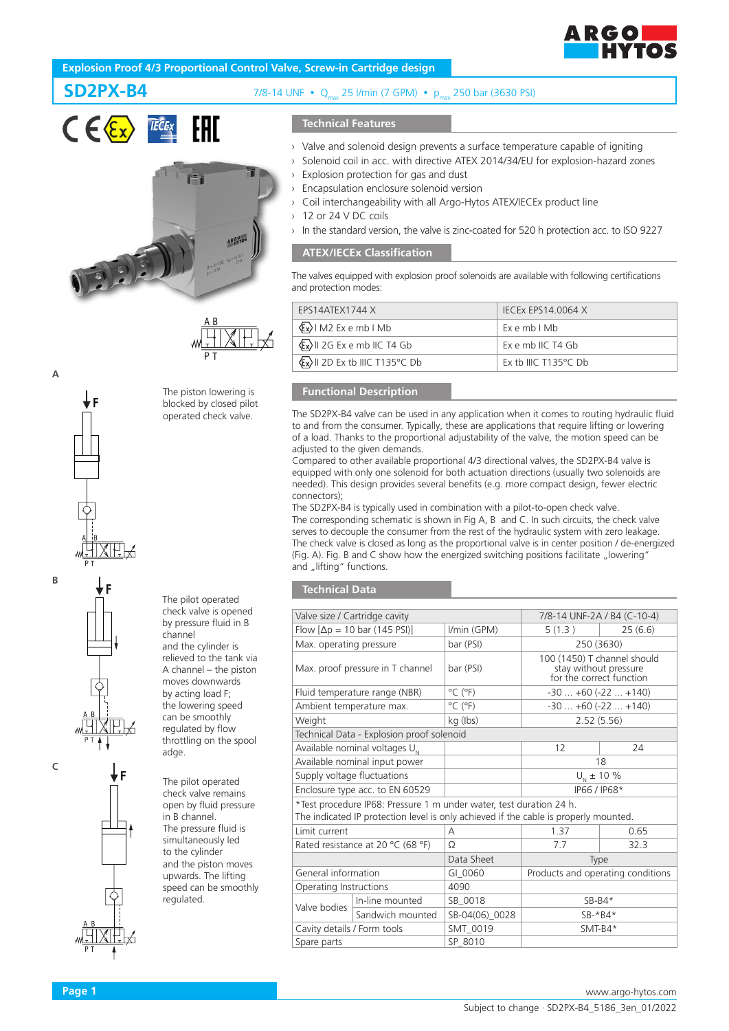

# **Explosion Proof 4/3 Proportional Control Valve, Screw-in Cartridge design**





**SD2PX-B4** 7/8-14 UNF  $\cdot$  0 25 l/min (7 GPM)  $\cdot$  pmax 250 bar (3630 PSI)

# **Technical Features**

- Valve and solenoid design prevents a surface temperature capable of igniting
- Solenoid coil in acc. with directive ATEX 2014/34/EU for explosion-hazard zones
- Explosion protection for gas and dust
- Encapsulation enclosure solenoid version
- Coil interchangeability with all Argo-Hytos ATEX/IECEx product line
- 12 or 24 V DC coils
- In the standard version, the valve is zinc-coated for 520 h protection acc. to ISO 9227

# **ATEX/IECEx Classification**

The valves equipped with explosion proof solenoids are available with following certifications and protection modes:

| FPS14ATFX1744 X                                      | <b>IECEX EPS14.0064 X</b>      |
|------------------------------------------------------|--------------------------------|
| $\langle \overline{\xi_x} \rangle$   M2 Ex e mb   Mb | Exemb I Mb                     |
| $\langle x \rangle$    2G Ex e mb   C T4 Gb          | $Fx$ e mb IIC T4 Gb            |
| $\langle x \rangle$    2D Ex tb   C T135°C Db        | Ex th IIIC T135 $\degree$ C Db |

# **Functional Description**

The SD2PX-B4 valve can be used in any application when it comes to routing hydraulic fluid to and from the consumer. Typically, these are applications that require lifting or lowering of a load. Thanks to the proportional adjustability of the valve, the motion speed can be adjusted to the given demands.

Compared to other available proportional 4/3 directional valves, the SD2PX-B4 valve is equipped with only one solenoid for both actuation directions (usually two solenoids are needed). This design provides several benefits (e.g. more compact design, fewer electric connectors);

The SD2PX-B4 is typically used in combination with a pilot-to-open check valve. The corresponding schematic is shown in Fig A, B and C. In such circuits, the check valve serves to decouple the consumer from the rest of the hydraulic system with zero leakage. The check valve is closed as long as the proportional valve is in center position / de-energized (Fig. A). Fig. B and C show how the energized switching positions facilitate "lowering" and "lifting" functions.

# **Technical Data**

| Valve size / Cartridge cavity     |                                                                                                                                                             | 7/8-14 UNF-2A / B4 (C-10-4)  |                                                                                  |         |
|-----------------------------------|-------------------------------------------------------------------------------------------------------------------------------------------------------------|------------------------------|----------------------------------------------------------------------------------|---------|
|                                   | Flow $[\Delta p = 10$ bar (145 PSI)]<br>I/min (GPM)                                                                                                         |                              | 5(1.3)                                                                           | 25(6.6) |
|                                   | bar (PSI)<br>Max. operating pressure                                                                                                                        |                              | 250 (3630)                                                                       |         |
| Max. proof pressure in T channel  |                                                                                                                                                             | bar (PSI)                    | 100 (1450) T channel should<br>stay without pressure<br>for the correct function |         |
|                                   | Fluid temperature range (NBR)                                                                                                                               | $^{\circ}$ C ( $^{\circ}$ F) | $-30+60(-22+140)$                                                                |         |
| Ambient temperature max.          |                                                                                                                                                             | $^{\circ}$ C ( $^{\circ}$ F) | $-30+60(-22+140)$                                                                |         |
| Weight                            |                                                                                                                                                             | kg (lbs)                     | 2.52(5.56)                                                                       |         |
|                                   | Technical Data - Explosion proof solenoid                                                                                                                   |                              |                                                                                  |         |
|                                   | Available nominal voltages $U_{N}$                                                                                                                          |                              | 12                                                                               | 24      |
|                                   | Available nominal input power<br>18                                                                                                                         |                              |                                                                                  |         |
| Supply voltage fluctuations       |                                                                                                                                                             |                              | $U_{N}$ ± 10 %                                                                   |         |
|                                   | Enclosure type acc. to EN 60529                                                                                                                             |                              | IP66 / IP68*                                                                     |         |
|                                   | *Test procedure IP68: Pressure 1 m under water, test duration 24 h.<br>The indicated IP protection level is only achieved if the cable is properly mounted. |                              |                                                                                  |         |
| Limit current                     |                                                                                                                                                             | А                            | 1.37                                                                             | 0.65    |
| Rated resistance at 20 °C (68 °F) |                                                                                                                                                             | $\Omega$                     | 7.7                                                                              | 32.3    |
|                                   |                                                                                                                                                             | Data Sheet                   | Type                                                                             |         |
| General information               |                                                                                                                                                             | GI 0060                      | Products and operating conditions                                                |         |
| Operating Instructions            |                                                                                                                                                             | 4090                         |                                                                                  |         |
| Valve bodies                      | In-line mounted                                                                                                                                             | SB 0018                      | $SB-B4*$                                                                         |         |
|                                   | Sandwich mounted                                                                                                                                            | SB-04(06)_0028               | $SB-*B4*$                                                                        |         |
| Cavity details / Form tools       |                                                                                                                                                             | SMT_0019                     | $SMT-B4*$                                                                        |         |
| Spare parts                       | SP 8010                                                                                                                                                     |                              |                                                                                  |         |



The pilot operated check valve is opened by pressure fluid in B

and the cylinder is relieved to the tank via A channel – the piston moves downwards by acting load F; the lowering speed can be smoothly regulated by flow throttling on the spool

The pilot operated check valve remains open by fluid pressure in B channel. The pressure fluid is simultaneously led to the cylinder and the piston moves upwards. The lifting speed can be smoothly

channel

adge.

regulated.

**B**

▼F

**A**



**C**

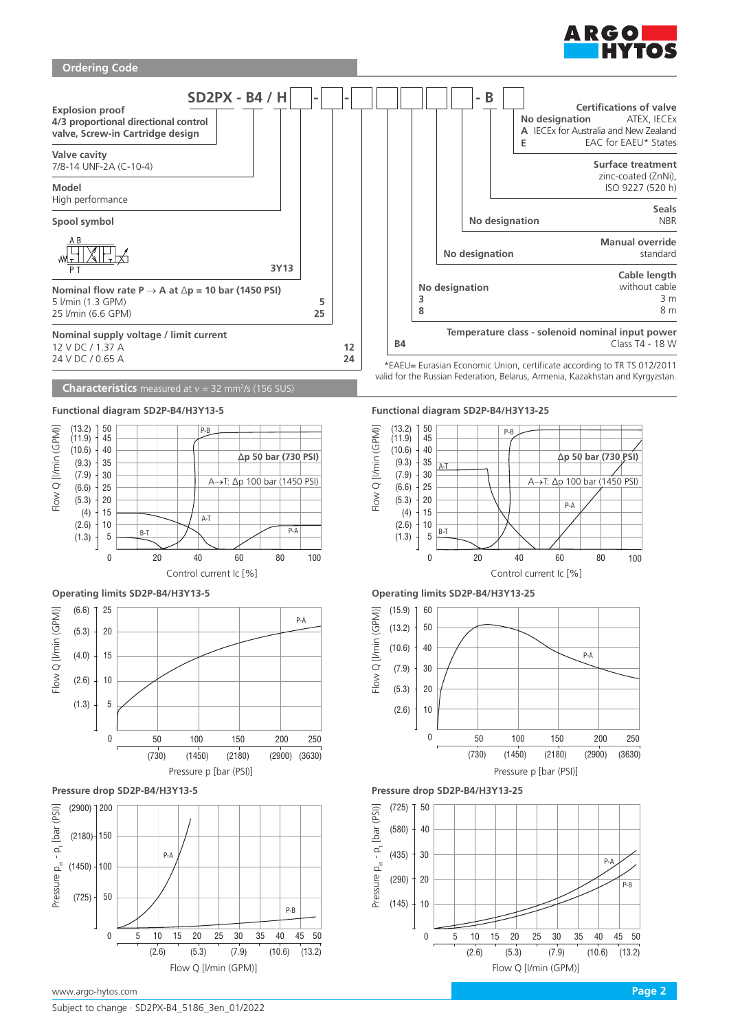

# **Ordering Code**



# **Characteristics** measured at v = 32 mm<sup>2</sup>/s (156 SUS)





















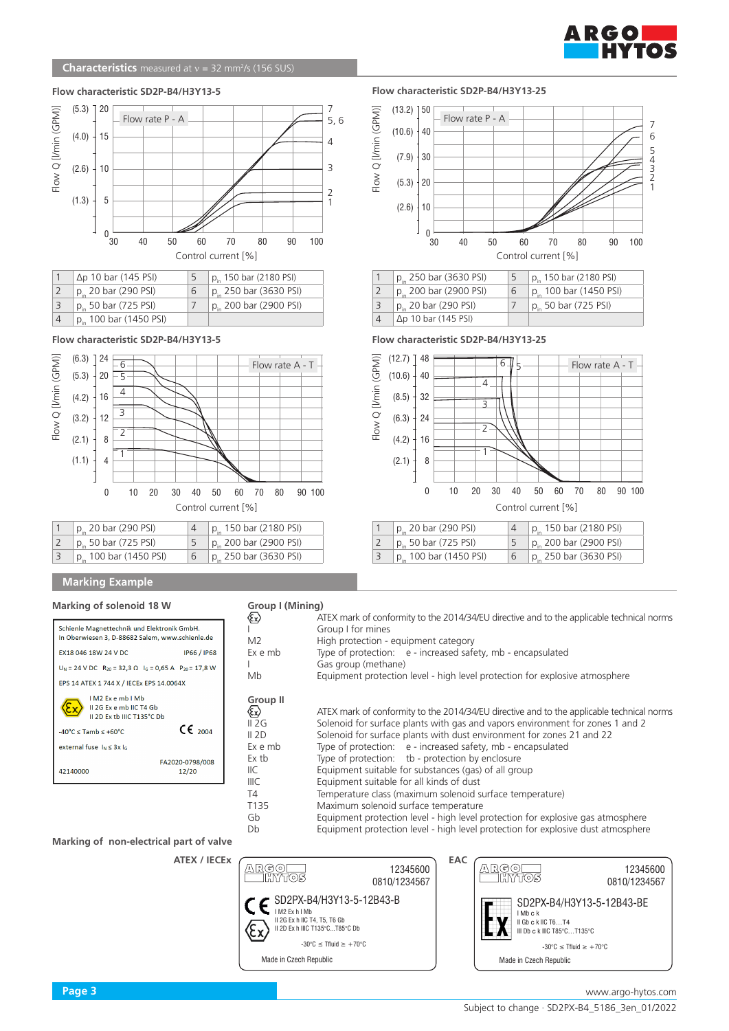

1

6

7

# **Flow characteristic SD2P-B4/H3Y13-5 Flow characteristic SD2P-B4/H3Y13-25**



| $\Delta p$ 10 bar (145 PSI)        | 5 | $p_{in}$ 150 bar (2180 PSI) |
|------------------------------------|---|-----------------------------|
| $p_{in}$ 20 bar (290 PSI)          | 6 | $p_{in}$ 250 bar (3630 PSI) |
| $p_{in}$ 50 bar (725 PSI)          |   | $p_{in}$ 200 bar (2900 PSI) |
| p <sub>in</sub> 100 bar (1450 PSI) |   |                             |

**Flow characteristic SD2P-B4/H3Y13-5 Flow characteristic SD2P-B4/H3Y13-25**



# **Marking Example**

**Marking of solenoid 18 W**

| Schienle Magnettechnik und Elektronik GmbH.<br>In Oberwiesen 3, D-88682 Salem, www.schienle.de |                               |
|------------------------------------------------------------------------------------------------|-------------------------------|
| EX18 046 18W 24 V DC                                                                           | <b>IP66 / IP68</b>            |
| $U_N = 24$ V DC $R_{20} = 32.3 \Omega$ $I_G = 0.65$ A $P_{20} = 17.8$ W                        |                               |
| EPS 14 ATEX 1 744 X / IECEx EPS 14.0064X                                                       |                               |
| $IM2$ $Fx$ $e$ $mb$ $IMb$<br>II 2G Ex e mb IIC T4 Gb<br>II 2D Ex th IIIC T135°C Db             |                               |
| $-40^{\circ}$ C < Tamb < $+60^{\circ}$ C                                                       | $\mathsf{CE}_{\mathsf{2004}}$ |
| external fuse $I_N \leq 3x I_G$                                                                |                               |
|                                                                                                | FA2020-0798/008               |

|  | Group I (Mining) |  |
|--|------------------|--|
|  |                  |  |

| High protection - equipment category<br>M <sub>2</sub><br>Type of protection: e - increased safety, mb - encapsulated<br>Gas group (methane)<br>Equipment protection level - high level protection for explosive atmosphere<br>Mb<br><b>Group II</b><br>ATEX mark of conformity to the 2014/34/EU directive and to the applicable technical norms<br>Solenoid for surface plants with gas and vapors environment for zones 1 and 2<br>Solenoid for surface plants with dust environment for zones 21 and 22<br>Type of protection: e - increased safety, mb - encapsulated<br>Type of protection: tb - protection by enclosure<br>Equipment suitable for substances (gas) of all group<br>llС<br>IIIC<br>Equipment suitable for all kinds of dust<br>Temperature class (maximum solenoid surface temperature)<br>Maximum solenoid surface temperature<br>Equipment protection level - high level protection for explosive gas atmosphere<br>Gb<br>Equipment protection level - high level protection for explosive dust atmosphere<br>Db. | ∕£x                                     | ATEX mark of conformity to the 2014/34/EU directive and to the applicable technical norms |
|-------------------------------------------------------------------------------------------------------------------------------------------------------------------------------------------------------------------------------------------------------------------------------------------------------------------------------------------------------------------------------------------------------------------------------------------------------------------------------------------------------------------------------------------------------------------------------------------------------------------------------------------------------------------------------------------------------------------------------------------------------------------------------------------------------------------------------------------------------------------------------------------------------------------------------------------------------------------------------------------------------------------------------------------|-----------------------------------------|-------------------------------------------------------------------------------------------|
|                                                                                                                                                                                                                                                                                                                                                                                                                                                                                                                                                                                                                                                                                                                                                                                                                                                                                                                                                                                                                                           |                                         | Group I for mines                                                                         |
|                                                                                                                                                                                                                                                                                                                                                                                                                                                                                                                                                                                                                                                                                                                                                                                                                                                                                                                                                                                                                                           |                                         |                                                                                           |
|                                                                                                                                                                                                                                                                                                                                                                                                                                                                                                                                                                                                                                                                                                                                                                                                                                                                                                                                                                                                                                           | Ex e mb                                 |                                                                                           |
|                                                                                                                                                                                                                                                                                                                                                                                                                                                                                                                                                                                                                                                                                                                                                                                                                                                                                                                                                                                                                                           |                                         |                                                                                           |
|                                                                                                                                                                                                                                                                                                                                                                                                                                                                                                                                                                                                                                                                                                                                                                                                                                                                                                                                                                                                                                           |                                         |                                                                                           |
|                                                                                                                                                                                                                                                                                                                                                                                                                                                                                                                                                                                                                                                                                                                                                                                                                                                                                                                                                                                                                                           |                                         |                                                                                           |
|                                                                                                                                                                                                                                                                                                                                                                                                                                                                                                                                                                                                                                                                                                                                                                                                                                                                                                                                                                                                                                           | $\langle \epsilon_{\mathbf{x}} \rangle$ |                                                                                           |
|                                                                                                                                                                                                                                                                                                                                                                                                                                                                                                                                                                                                                                                                                                                                                                                                                                                                                                                                                                                                                                           | II 2G                                   |                                                                                           |
|                                                                                                                                                                                                                                                                                                                                                                                                                                                                                                                                                                                                                                                                                                                                                                                                                                                                                                                                                                                                                                           | II 2D                                   |                                                                                           |
|                                                                                                                                                                                                                                                                                                                                                                                                                                                                                                                                                                                                                                                                                                                                                                                                                                                                                                                                                                                                                                           | Ex e mb                                 |                                                                                           |
|                                                                                                                                                                                                                                                                                                                                                                                                                                                                                                                                                                                                                                                                                                                                                                                                                                                                                                                                                                                                                                           | Ex tb                                   |                                                                                           |
|                                                                                                                                                                                                                                                                                                                                                                                                                                                                                                                                                                                                                                                                                                                                                                                                                                                                                                                                                                                                                                           |                                         |                                                                                           |
|                                                                                                                                                                                                                                                                                                                                                                                                                                                                                                                                                                                                                                                                                                                                                                                                                                                                                                                                                                                                                                           |                                         |                                                                                           |
|                                                                                                                                                                                                                                                                                                                                                                                                                                                                                                                                                                                                                                                                                                                                                                                                                                                                                                                                                                                                                                           | T4                                      |                                                                                           |
|                                                                                                                                                                                                                                                                                                                                                                                                                                                                                                                                                                                                                                                                                                                                                                                                                                                                                                                                                                                                                                           | T <sub>135</sub>                        |                                                                                           |
|                                                                                                                                                                                                                                                                                                                                                                                                                                                                                                                                                                                                                                                                                                                                                                                                                                                                                                                                                                                                                                           |                                         |                                                                                           |
|                                                                                                                                                                                                                                                                                                                                                                                                                                                                                                                                                                                                                                                                                                                                                                                                                                                                                                                                                                                                                                           |                                         |                                                                                           |

(4.2)

(2.1)

(8.5) (6.3)

Flow Q [l/min (GPM)]

(10.6)  $(12.7)$ 

> 8 16

1

1  $p_{in}$  20 bar (290 PSI)  $\frac{4}{5}$   $\frac{p_{in}}{150}$  bar (2180 PSI)  $\frac{1}{2}$   $\frac{p_{in}}{p_{in}}$  50 bar (725 PSI)  $\frac{5}{5}$   $\frac{p_{in}}{p_{in}}$  200 bar (2900 PSI) 2 p<sub>in</sub> 50 bar (725 PSI) 5 p<sub>in</sub> 200 bar (2900 PSI)<br>3 p<sub>in</sub> 100 bar (1450 PSI) 6 p<sub>in</sub> 250 bar (3630 PSI)

 $\overline{2}$ 3 4 6

 $p_{in}$  250 bar (3630 PSI)  $\qquad 5$   $\qquad p_{in}$  150 bar (2180 PSI)<br>  $p_{in}$  200 bar (2900 PSI)  $\qquad 6$   $\qquad p_{in}$  100 bar (1450 PSI) 2  $p_{in}$  200 bar (2900 PSI) 6  $p_{in}$  100 bar (1450 P<br>3  $p_{in}$  20 bar (290 PSI) 7  $p_{in}$  50 bar (725 PSI)

30 40 50 60 70 80 90 100

Control current [%]

5

40

48

 $\frac{3}{4}$  p<sub>in</sub> 20 bar (290 PSI)<br>4 Ap 10 bar (145 PSI)  $\Delta p$  10 bar (145 PSI)

 $0\frac{1}{30}$ 

 $(5.3)$   $\pm 20$ 

 $(7.9)$ 

Flow Q [l/min (GPM)]

Flow Q [I/min (GPM)]

30

Flow rate P - A

 $(13.2)$  750  $(10.6)$  40

 $(2.6) + 10$ 

32 24

0

p<sub>in</sub> 100 bar (1450 PSI)

**Marking of non-electrical part of valve**

**ATEX / IECEx**

 $12/20$ 





10 20 30 40 50 60 70 80 90 100

42140000